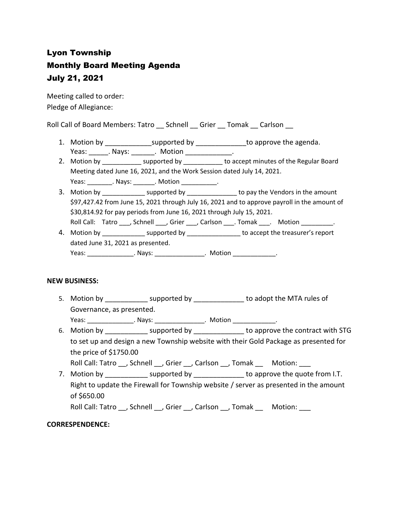# Lyon Township Monthly Board Meeting Agenda July 21, 2021

Meeting called to order: Pledge of Allegiance:

Roll Call of Board Members: Tatro \_\_ Schnell \_\_ Grier \_\_ Tomak \_\_ Carlson \_\_

- 1. Motion by \_\_\_\_\_\_\_\_\_\_\_\_\_\_\_supported by \_\_\_\_\_\_\_\_\_\_\_\_\_\_\_to approve the agenda. Yeas: Alays: All Motion Albert Motion Albert Motion Albert Albert Albert Albert Albert Albert Albert Albert Al
- 2. Motion by \_\_\_\_\_\_\_\_\_\_\_\_\_ supported by \_\_\_\_\_\_\_\_\_\_\_ to accept minutes of the Regular Board Meeting dated June 16, 2021, and the Work Session dated July 14, 2021.
	- Yeas: \_\_\_\_\_\_\_\_\_. Nays: \_\_\_\_\_\_\_\_. Motion \_\_\_\_\_\_\_\_\_\_\_\_.
- 3. Motion by \_\_\_\_\_\_\_\_\_\_\_\_\_\_ supported by \_\_\_\_\_\_\_\_\_\_\_\_\_\_\_\_ to pay the Vendors in the amount \$97,427.42 from June 15, 2021 through July 16, 2021 and to approve payroll in the amount of \$30,814.92 for pay periods from June 16, 2021 through July 15, 2021. Roll Call: Tatro \_\_\_, Schnell \_\_\_, Grier \_\_\_, Carlson \_\_\_\_. Tomak \_\_\_. Motion \_\_\_\_\_\_\_\_.
- 4. Motion by \_\_\_\_\_\_\_\_\_\_\_\_\_\_\_ supported by \_\_\_\_\_\_\_\_\_\_\_\_\_\_\_\_ to accept the treasurer's report dated June 31, 2021 as presented. Yeas: \_\_\_\_\_\_\_\_\_\_\_\_\_\_\_\_\_. Nays: \_\_\_\_\_\_\_\_\_\_\_\_\_\_\_\_\_. Motion \_\_\_\_\_\_\_\_\_\_\_\_\_\_\_.

### **NEW BUSINESS:**

5. Motion by \_\_\_\_\_\_\_\_\_\_\_\_ supported by \_\_\_\_\_\_\_\_\_\_\_\_\_\_ to adopt the MTA rules of Governance, as presented.

Yeas: \_\_\_\_\_\_\_\_\_\_\_\_\_\_\_\_\_. Nays: \_\_\_\_\_\_\_\_\_\_\_\_\_\_\_\_. Motion \_\_\_\_\_\_\_\_\_\_\_\_\_\_\_.

6. Motion by supported by \_\_\_\_\_\_\_\_\_\_\_\_\_\_ to approve the contract with STG to set up and design a new Township website with their Gold Package as presented for the price of \$1750.00

Roll Call: Tatro \_\_, Schnell \_\_, Grier \_\_, Carlson \_\_, Tomak \_\_ Motion: \_\_\_

7. Motion by \_\_\_\_\_\_\_\_\_\_\_\_\_ supported by \_\_\_\_\_\_\_\_\_\_\_\_\_\_ to approve the quote from I.T. Right to update the Firewall for Township website / server as presented in the amount of \$650.00

Roll Call: Tatro \_\_, Schnell \_\_, Grier \_\_, Carlson \_\_, Tomak \_\_ Motion: \_\_\_

# **CORRESPENDENCE:**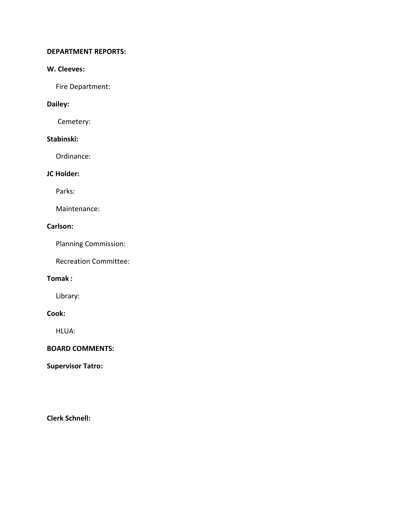#### **DEPARTMENT REPORTS:**

### **W. Cleeves:**

Fire Department:

# **Dailey:**

Cemetery:

# **Stabinski:**

Ordinance:

# **JC Holder:**

Parks:

Maintenance:

# **Carlson:**

Planning Commission:

Recreation Committee:

## **Tomak :**

Library:

### **Cook:**

HLUA:

## **BOARD COMMENTS:**

**Supervisor Tatro:**

**Clerk Schnell:**